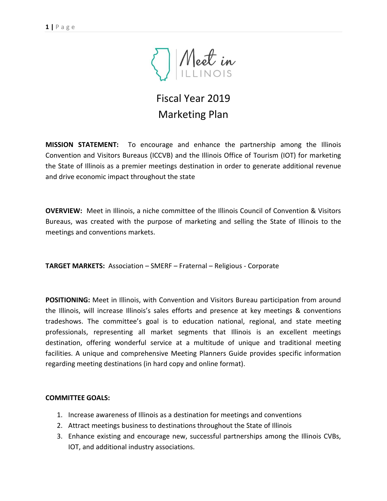

# Fiscal Year 2019 Marketing Plan

**MISSION STATEMENT:** To encourage and enhance the partnership among the Illinois Convention and Visitors Bureaus (ICCVB) and the Illinois Office of Tourism (IOT) for marketing the State of Illinois as a premier meetings destination in order to generate additional revenue and drive economic impact throughout the state

**OVERVIEW:** Meet in Illinois, a niche committee of the Illinois Council of Convention & Visitors Bureaus, was created with the purpose of marketing and selling the State of Illinois to the meetings and conventions markets.

**TARGET MARKETS:** Association – SMERF – Fraternal – Religious - Corporate

**POSITIONING:** Meet in Illinois, with Convention and Visitors Bureau participation from around the Illinois, will increase Illinois's sales efforts and presence at key meetings & conventions tradeshows. The committee's goal is to education national, regional, and state meeting professionals, representing all market segments that Illinois is an excellent meetings destination, offering wonderful service at a multitude of unique and traditional meeting facilities. A unique and comprehensive Meeting Planners Guide provides specific information regarding meeting destinations (in hard copy and online format).

#### **COMMITTEE GOALS:**

- 1. Increase awareness of Illinois as a destination for meetings and conventions
- 2. Attract meetings business to destinations throughout the State of Illinois
- 3. Enhance existing and encourage new, successful partnerships among the Illinois CVBs, IOT, and additional industry associations.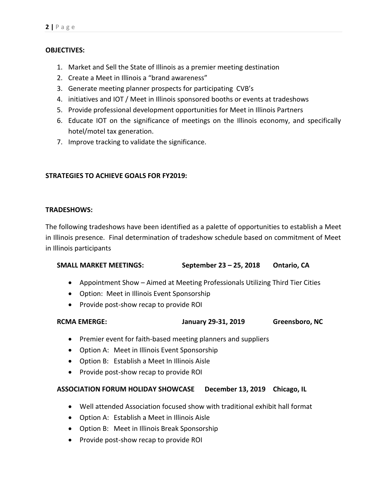# **OBJECTIVES:**

- 1. Market and Sell the State of Illinois as a premier meeting destination
- 2. Create a Meet in Illinois a "brand awareness"
- 3. Generate meeting planner prospects for participating CVB's
- 4. initiatives and IOT / Meet in Illinois sponsored booths or events at tradeshows
- 5. Provide professional development opportunities for Meet in Illinois Partners
- 6. Educate IOT on the significance of meetings on the Illinois economy, and specifically hotel/motel tax generation.
- 7. Improve tracking to validate the significance.

# **STRATEGIES TO ACHIEVE GOALS FOR FY2019:**

## **TRADESHOWS:**

The following tradeshows have been identified as a palette of opportunities to establish a Meet in Illinois presence. Final determination of tradeshow schedule based on commitment of Meet in Illinois participants

# **SMALL MARKET MEETINGS: September 23 – 25, 2018 Ontario, CA**

- Appointment Show Aimed at Meeting Professionals Utilizing Third Tier Cities
- Option: Meet in Illinois Event Sponsorship
- Provide post-show recap to provide ROI

| <b>RCMA EMERGE:</b> | January 29-31, 2019 | Greensboro, NC |
|---------------------|---------------------|----------------|
|---------------------|---------------------|----------------|

- Premier event for faith-based meeting planners and suppliers
- Option A: Meet in Illinois Event Sponsorship
- Option B: Establish a Meet In Illinois Aisle
- Provide post-show recap to provide ROI

#### **ASSOCIATION FORUM HOLIDAY SHOWCASE December 13, 2019 Chicago, IL**

- Well attended Association focused show with traditional exhibit hall format
- Option A: Establish a Meet in Illinois Aisle
- Option B: Meet in Illinois Break Sponsorship
- Provide post-show recap to provide ROI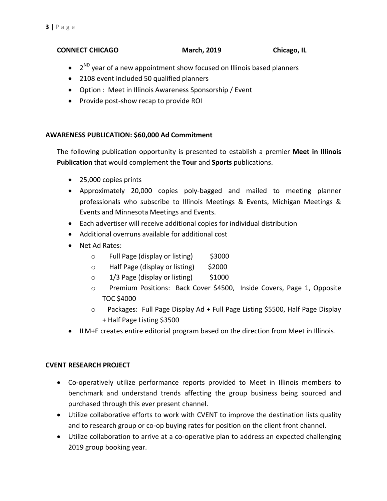# **CONNECT CHICAGO March, 2019 Chicago, IL**

- $\bullet$  2<sup>ND</sup> year of a new appointment show focused on Illinois based planners
- 2108 event included 50 qualified planners
- Option : Meet in Illinois Awareness Sponsorship / Event
- Provide post-show recap to provide ROI

# **AWARENESS PUBLICATION: \$60,000 Ad Commitment**

The following publication opportunity is presented to establish a premier **Meet in Illinois Publication** that would complement the **Tour** and **Sports** publications.

- 25,000 copies prints
- Approximately 20,000 copies poly-bagged and mailed to meeting planner professionals who subscribe to Illinois Meetings & Events, Michigan Meetings & Events and Minnesota Meetings and Events.
- Each advertiser will receive additional copies for individual distribution
- Additional overruns available for additional cost
- Net Ad Rates:
	- o Full Page (display or listing) \$3000
	- o Half Page (display or listing) \$2000
	- $\circ$  1/3 Page (display or listing) \$1000
	- o Premium Positions: Back Cover \$4500, Inside Covers, Page 1, Opposite TOC \$4000
	- o Packages: Full Page Display Ad + Full Page Listing \$5500, Half Page Display + Half Page Listing \$3500
- ILM+E creates entire editorial program based on the direction from Meet in Illinois.

# **CVENT RESEARCH PROJECT**

- Co-operatively utilize performance reports provided to Meet in Illinois members to benchmark and understand trends affecting the group business being sourced and purchased through this ever present channel.
- Utilize collaborative efforts to work with CVENT to improve the destination lists quality and to research group or co-op buying rates for position on the client front channel.
- Utilize collaboration to arrive at a co-operative plan to address an expected challenging 2019 group booking year.